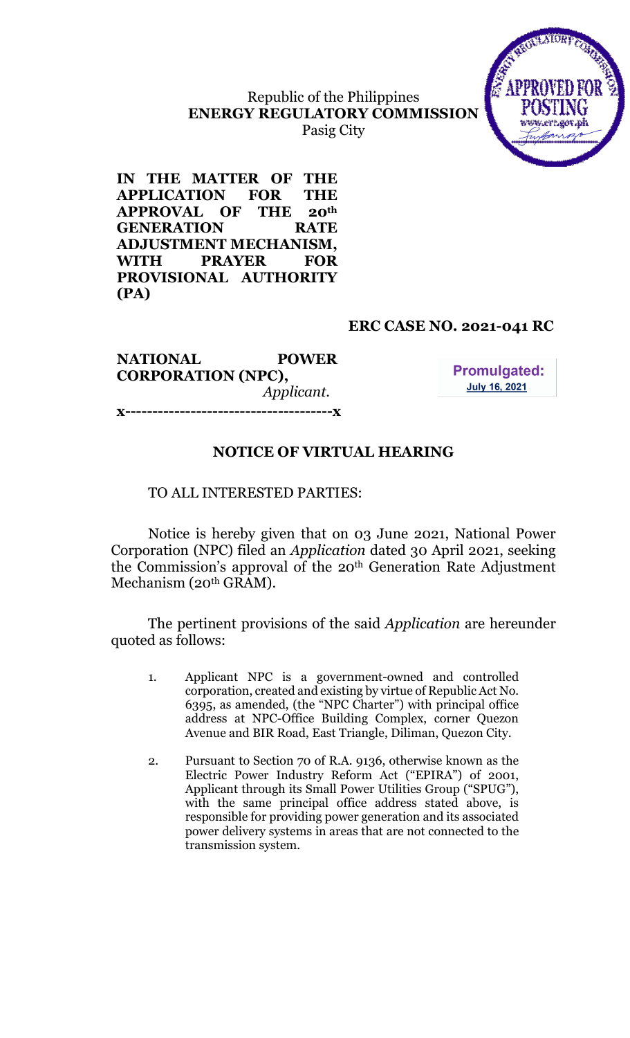Republic of the Philippines ENERGY REGULATORY COMMISSION Pasig City



IN THE MATTER OF THE APPLICATION FOR THE APPROVAL OF THE 20th GENERATION RATE ADJUSTMENT MECHANISM, WITH PRAYER FOR PROVISIONAL AUTHORITY (PA)

#### ERC CASE NO. 2021-041 RC

NATIONAL POWER CORPORATION (NPC), Applicant. x--------------------------------------x

**Promulgated: July 16, 2021** 

# NOTICE OF VIRTUAL HEARING

#### TO ALL INTERESTED PARTIES:

Notice is hereby given that on 03 June 2021, National Power Corporation (NPC) filed an Application dated 30 April 2021, seeking the Commission's approval of the 20th Generation Rate Adjustment Mechanism (20th GRAM).

 The pertinent provisions of the said Application are hereunder quoted as follows:

- 1. Applicant NPC is a government-owned and controlled corporation, created and existing by virtue of Republic Act No. 6395, as amended, (the "NPC Charter") with principal office address at NPC-Office Building Complex, corner Quezon Avenue and BIR Road, East Triangle, Diliman, Quezon City.
- 2. Pursuant to Section 70 of R.A. 9136, otherwise known as the Electric Power Industry Reform Act ("EPIRA") of 2001, Applicant through its Small Power Utilities Group ("SPUG"), with the same principal office address stated above, is responsible for providing power generation and its associated power delivery systems in areas that are not connected to the transmission system.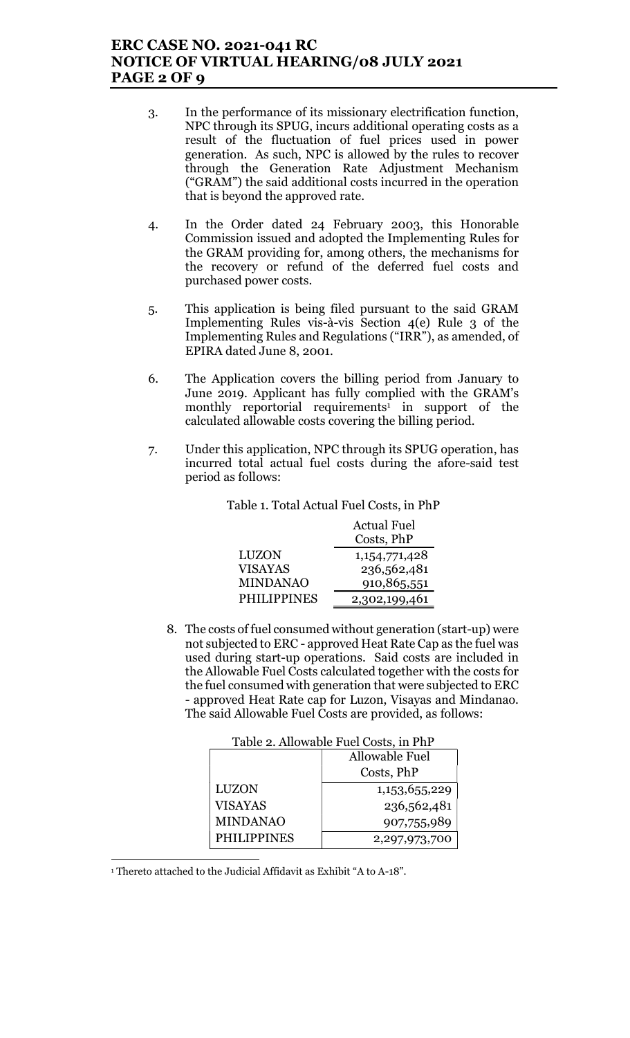## ERC CASE NO. 2021-041 RC NOTICE OF VIRTUAL HEARING/08 JULY 2021 PAGE 2 OF 9

- 3. In the performance of its missionary electrification function, NPC through its SPUG, incurs additional operating costs as a result of the fluctuation of fuel prices used in power generation. As such, NPC is allowed by the rules to recover through the Generation Rate Adjustment Mechanism ("GRAM") the said additional costs incurred in the operation that is beyond the approved rate.
- 4. In the Order dated 24 February 2003, this Honorable Commission issued and adopted the Implementing Rules for the GRAM providing for, among others, the mechanisms for the recovery or refund of the deferred fuel costs and purchased power costs.
- 5. This application is being filed pursuant to the said GRAM Implementing Rules vis-à-vis Section 4(e) Rule 3 of the Implementing Rules and Regulations ("IRR"), as amended, of EPIRA dated June 8, 2001.
- 6. The Application covers the billing period from January to June 2019. Applicant has fully complied with the GRAM's monthly reportorial requirements<sup>1</sup> in support of the calculated allowable costs covering the billing period.
- 7. Under this application, NPC through its SPUG operation, has incurred total actual fuel costs during the afore-said test period as follows:

| Table 1. Total Actual Fuel Costs, in PhP |  |  |
|------------------------------------------|--|--|
|                                          |  |  |

|                    | <b>Actual Fuel</b> |  |
|--------------------|--------------------|--|
|                    | Costs, PhP         |  |
| <b>LUZON</b>       | 1, 154, 771, 428   |  |
| <b>VISAYAS</b>     | 236,562,481        |  |
| <b>MINDANAO</b>    | 910,865,551        |  |
| <b>PHILIPPINES</b> | 2,302,199,461      |  |

8. The costs of fuel consumed without generation (start-up) were not subjected to ERC - approved Heat Rate Cap as the fuel was used during start-up operations. Said costs are included in the Allowable Fuel Costs calculated together with the costs for the fuel consumed with generation that were subjected to ERC - approved Heat Rate cap for Luzon, Visayas and Mindanao. The said Allowable Fuel Costs are provided, as follows:

| rable 2. Allowable Puel Costs, in Fill |                |  |
|----------------------------------------|----------------|--|
|                                        | Allowable Fuel |  |
|                                        | Costs, PhP     |  |
| <b>LUZON</b>                           | 1,153,655,229  |  |
| <b>VISAYAS</b>                         | 236,562,481    |  |
| <b>MINDANAO</b>                        | 907,755,989    |  |
| <b>PHILIPPINES</b>                     | 2,297,973,700  |  |

Table 2. Allowable Fuel Costs, in PhP

 $\overline{a}$ 1 Thereto attached to the Judicial Affidavit as Exhibit "A to A-18".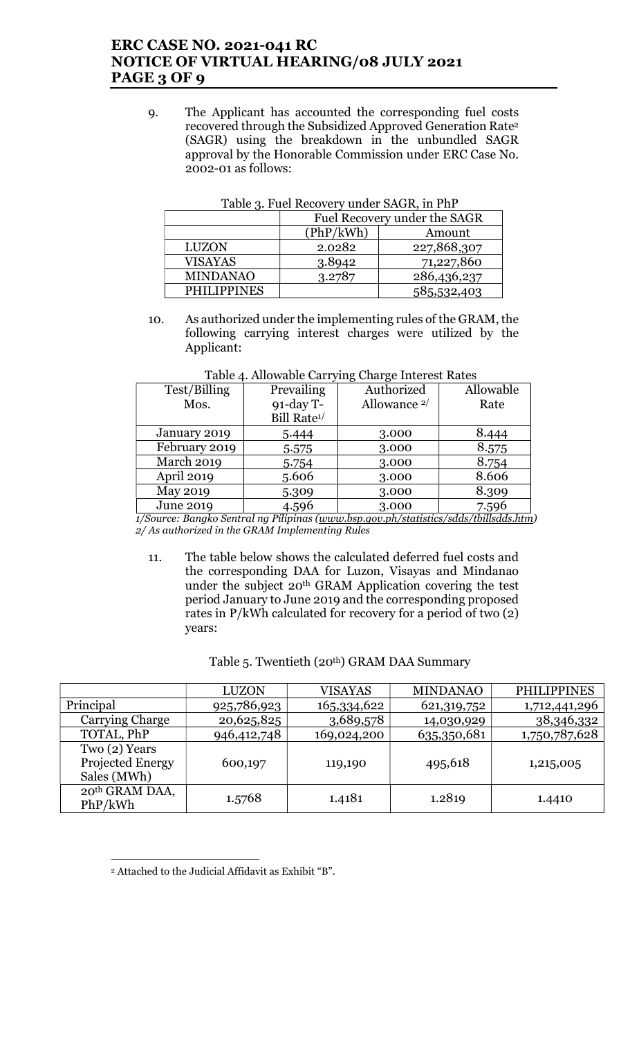# ERC CASE NO. 2021-041 RC NOTICE OF VIRTUAL HEARING/08 JULY 2021 PAGE 3 OF 9

9. The Applicant has accounted the corresponding fuel costs recovered through the Subsidized Approved Generation Rate<sup>2</sup> (SAGR) using the breakdown in the unbundled SAGR approval by the Honorable Commission under ERC Case No. 2002-01 as follows:

| . <b>. .</b> .     |                              |             |  |
|--------------------|------------------------------|-------------|--|
|                    | Fuel Recovery under the SAGR |             |  |
|                    | (PhP/kWh)                    | Amount      |  |
| <b>LUZON</b>       | 2.0282                       | 227,868,307 |  |
| <b>VISAYAS</b>     | 3.8942                       | 71,227,860  |  |
| <b>MINDANAO</b>    | 3.2787                       | 286,436,237 |  |
| <b>PHILIPPINES</b> |                              | 585,532,403 |  |

Table 3. Fuel Recovery under SAGR, in PhP

10. As authorized under the implementing rules of the GRAM, the following carrying interest charges were utilized by the Applicant:

| Test/Billing      | Prevailing              | Authorized              | Allowable |
|-------------------|-------------------------|-------------------------|-----------|
| Mos.              | $91$ -day T-            | Allowance <sup>2/</sup> | Rate      |
|                   | Bill Rate <sup>1/</sup> |                         |           |
| January 2019      | 5.444                   | 3.000                   | 8.444     |
| February 2019     | 5.575                   | 3.000                   | 8.575     |
| <b>March 2019</b> | 5.754                   | 3.000                   | 8.754     |
| April 2019        | 5.606                   | 3.000                   | 8.606     |
| May 2019          | 5.309                   | 3.000                   | 8.309     |
| <b>June 2019</b>  | 4.596                   | 3.000                   | 7.596     |

Table 4. Allowable Carrying Charge Interest Rates

 1/Source: Bangko Sentral ng Pilipinas (www.bsp.gov.ph/statistics/sdds/tbillsdds.htm) 2/ As authorized in the GRAM Implementing Rules

11. The table below shows the calculated deferred fuel costs and the corresponding DAA for Luzon, Visayas and Mindanao under the subject 20<sup>th</sup> GRAM Application covering the test period January to June 2019 and the corresponding proposed rates in P/kWh calculated for recovery for a period of two (2) years:

|                                                        | <b>LUZON</b> | <b>VISAYAS</b> | <b>MINDANAO</b> | <b>PHILIPPINES</b> |
|--------------------------------------------------------|--------------|----------------|-----------------|--------------------|
| Principal                                              | 925,786,923  | 165,334,622    | 621, 319, 752   | 1,712,441,296      |
| Carrying Charge                                        | 20,625,825   | 3,689,578      | 14,030,929      | 38,346,332         |
| TOTAL, PhP                                             | 946,412,748  | 169,024,200    | 635,350,681     | 1,750,787,628      |
| Two(2) Years<br><b>Projected Energy</b><br>Sales (MWh) | 600,197      | 119,190        | 495,618         | 1,215,005          |
| 20 <sup>th</sup> GRAM DAA,<br>PhP/kWh                  | 1.5768       | 1.4181         | 1.2819          | 1.4410             |

#### Table 5. Twentieth (20<sup>th</sup>) GRAM DAA Summary

 $\overline{a}$ 2 Attached to the Judicial Affidavit as Exhibit "B".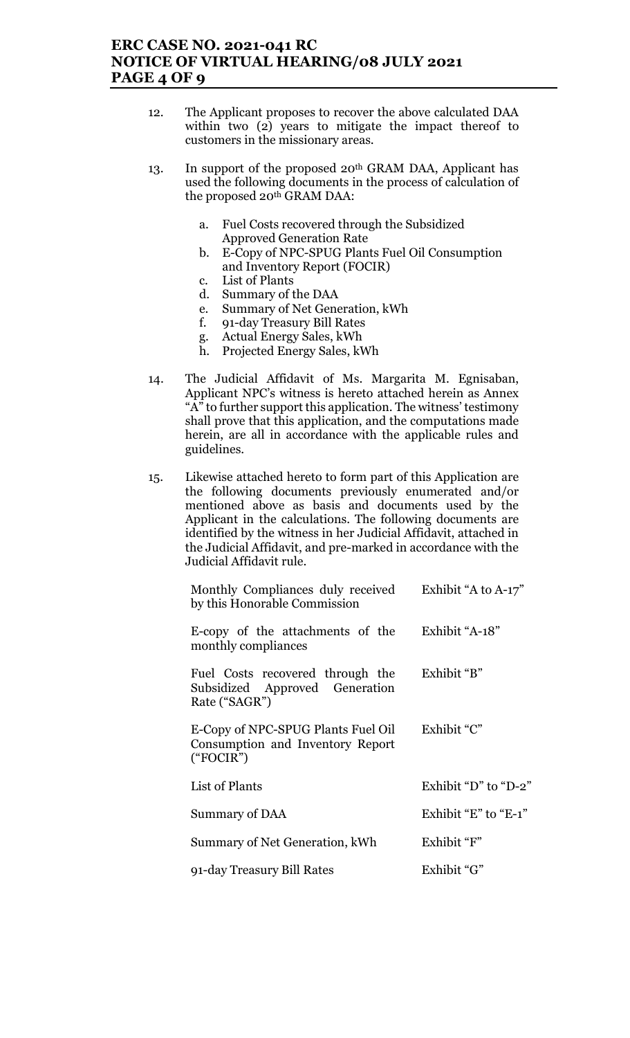# ERC CASE NO. 2021-041 RC NOTICE OF VIRTUAL HEARING/08 JULY 2021 PAGE 4 OF 9

- 12. The Applicant proposes to recover the above calculated DAA within two (2) years to mitigate the impact thereof to customers in the missionary areas.
- 13. In support of the proposed 20<sup>th</sup> GRAM DAA, Applicant has used the following documents in the process of calculation of the proposed 20th GRAM DAA:
	- a. Fuel Costs recovered through the Subsidized Approved Generation Rate
	- b. E-Copy of NPC-SPUG Plants Fuel Oil Consumption and Inventory Report (FOCIR)
	- c. List of Plants
	- d. Summary of the DAA
	- e. Summary of Net Generation, kWh
	- f. 91-day Treasury Bill Rates
	- g. Actual Energy Sales, kWh
	- h. Projected Energy Sales, kWh
- 14. The Judicial Affidavit of Ms. Margarita M. Egnisaban, Applicant NPC's witness is hereto attached herein as Annex " $A$ " to further support this application. The witness' testimony shall prove that this application, and the computations made herein, are all in accordance with the applicable rules and guidelines.
- 15. Likewise attached hereto to form part of this Application are the following documents previously enumerated and/or mentioned above as basis and documents used by the Applicant in the calculations. The following documents are identified by the witness in her Judicial Affidavit, attached in the Judicial Affidavit, and pre-marked in accordance with the Judicial Affidavit rule.

| Monthly Compliances duly received<br>by this Honorable Commission                   | Exhibit "A to A-17"          |
|-------------------------------------------------------------------------------------|------------------------------|
| E-copy of the attachments of the<br>monthly compliances                             | Exhibit "A-18"               |
| Fuel Costs recovered through the<br>Subsidized Approved Generation<br>Rate ("SAGR") | Exhibit "B"                  |
| E-Copy of NPC-SPUG Plants Fuel Oil<br>Consumption and Inventory Report<br>("FOCIR") | Exhibit "C"                  |
| List of Plants                                                                      | Exhibit "D" to "D-2"         |
| Summary of DAA                                                                      | Exhibit " $E$ " to " $E-1$ " |
| Summary of Net Generation, kWh                                                      | Exhibit "F"                  |
| 91-day Treasury Bill Rates                                                          | Exhibit "G"                  |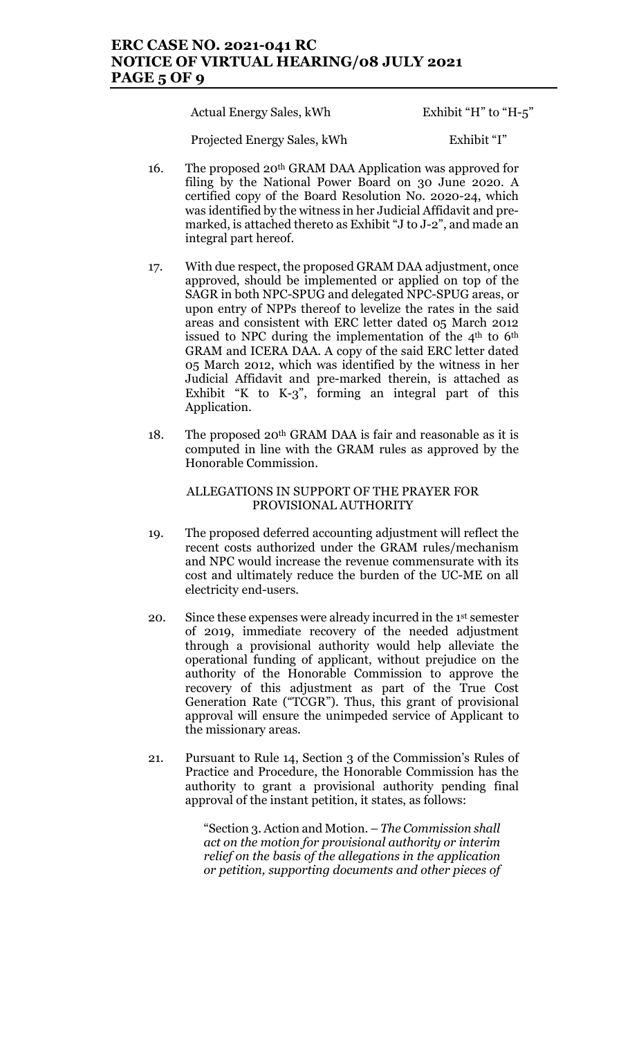## ERC CASE NO. 2021-041 RC NOTICE OF VIRTUAL HEARING/08 JULY 2021 PAGE 5 OF 9

Actual Energy Sales, kWh Exhibit "H" to "H-5"

Projected Energy Sales, kWh Exhibit "I"

- 16. The proposed 20<sup>th</sup> GRAM DAA Application was approved for filing by the National Power Board on 30 June 2020. A certified copy of the Board Resolution No. 2020-24, which was identified by the witness in her Judicial Affidavit and premarked, is attached thereto as Exhibit "J to J-2", and made an integral part hereof.
- 17. With due respect, the proposed GRAM DAA adjustment, once approved, should be implemented or applied on top of the SAGR in both NPC-SPUG and delegated NPC-SPUG areas, or upon entry of NPPs thereof to levelize the rates in the said areas and consistent with ERC letter dated 05 March 2012 issued to NPC during the implementation of the  $4<sup>th</sup>$  to  $6<sup>th</sup>$ GRAM and ICERA DAA. A copy of the said ERC letter dated 05 March 2012, which was identified by the witness in her Judicial Affidavit and pre-marked therein, is attached as Exhibit "K to K-3", forming an integral part of this Application.
- 18. The proposed  $20<sup>th</sup> GRAM DAA$  is fair and reasonable as it is computed in line with the GRAM rules as approved by the Honorable Commission.

#### ALLEGATIONS IN SUPPORT OF THE PRAYER FOR PROVISIONAL AUTHORITY

- 19. The proposed deferred accounting adjustment will reflect the recent costs authorized under the GRAM rules/mechanism and NPC would increase the revenue commensurate with its cost and ultimately reduce the burden of the UC-ME on all electricity end-users.
- 20. Since these expenses were already incurred in the 1st semester of 2019, immediate recovery of the needed adjustment through a provisional authority would help alleviate the operational funding of applicant, without prejudice on the authority of the Honorable Commission to approve the recovery of this adjustment as part of the True Cost Generation Rate ("TCGR"). Thus, this grant of provisional approval will ensure the unimpeded service of Applicant to the missionary areas.
- 21. Pursuant to Rule 14, Section 3 of the Commission's Rules of Practice and Procedure, the Honorable Commission has the authority to grant a provisional authority pending final approval of the instant petition, it states, as follows:

"Section 3. Action and Motion. – The Commission shall act on the motion for provisional authority or interim relief on the basis of the allegations in the application or petition, supporting documents and other pieces of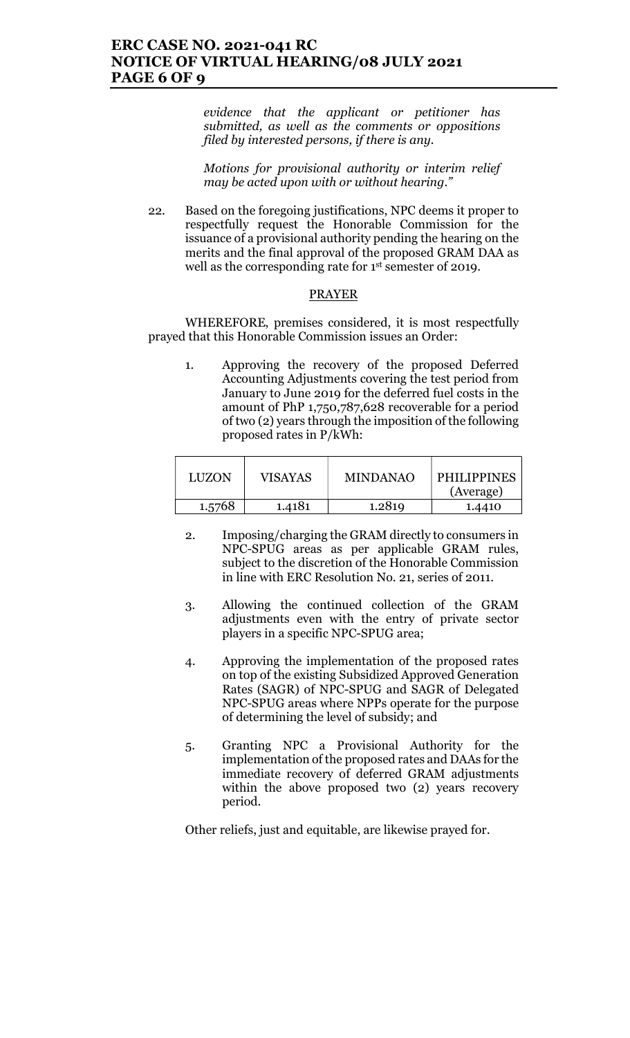evidence that the applicant or petitioner has submitted, as well as the comments or oppositions filed by interested persons, if there is any.

Motions for provisional authority or interim relief may be acted upon with or without hearing."

22. Based on the foregoing justifications, NPC deems it proper to respectfully request the Honorable Commission for the issuance of a provisional authority pending the hearing on the merits and the final approval of the proposed GRAM DAA as well as the corresponding rate for 1st semester of 2019.

#### PRAYER

WHEREFORE, premises considered, it is most respectfully prayed that this Honorable Commission issues an Order:

1. Approving the recovery of the proposed Deferred Accounting Adjustments covering the test period from January to June 2019 for the deferred fuel costs in the amount of PhP 1,750,787,628 recoverable for a period of two (2) years through the imposition of the following proposed rates in P/kWh:

| <b>LUZON</b> | VISAYAS | <b>MINDANAO</b> | <b>PHILIPPINES</b><br>(Average) |
|--------------|---------|-----------------|---------------------------------|
| 1.5768       | 1.4181  | 1.2819          | 1.4410                          |

- 2. Imposing/charging the GRAM directly to consumers in NPC-SPUG areas as per applicable GRAM rules, subject to the discretion of the Honorable Commission in line with ERC Resolution No. 21, series of 2011.
- 3. Allowing the continued collection of the GRAM adjustments even with the entry of private sector players in a specific NPC-SPUG area;
- 4. Approving the implementation of the proposed rates on top of the existing Subsidized Approved Generation Rates (SAGR) of NPC-SPUG and SAGR of Delegated NPC-SPUG areas where NPPs operate for the purpose of determining the level of subsidy; and
- 5. Granting NPC a Provisional Authority for the implementation of the proposed rates and DAAs for the immediate recovery of deferred GRAM adjustments within the above proposed two (2) years recovery period.

Other reliefs, just and equitable, are likewise prayed for.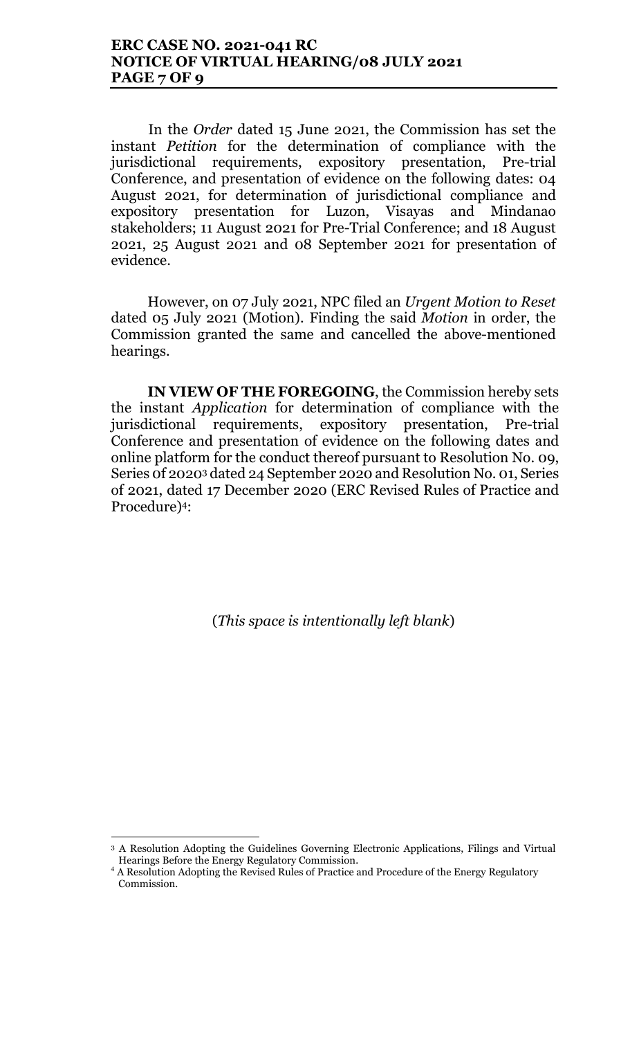### ERC CASE NO. 2021-041 RC NOTICE OF VIRTUAL HEARING/08 JULY 2021 PAGE 7 OF 9

In the Order dated 15 June 2021, the Commission has set the instant Petition for the determination of compliance with the jurisdictional requirements, expository presentation, Pre-trial Conference, and presentation of evidence on the following dates: 04 August 2021, for determination of jurisdictional compliance and expository presentation for Luzon, Visayas and Mindanao stakeholders; 11 August 2021 for Pre-Trial Conference; and 18 August 2021, 25 August 2021 and 08 September 2021 for presentation of evidence.

However, on 07 July 2021, NPC filed an Urgent Motion to Reset dated 05 July 2021 (Motion). Finding the said Motion in order, the Commission granted the same and cancelled the above-mentioned hearings.

IN VIEW OF THE FOREGOING, the Commission hereby sets the instant Application for determination of compliance with the jurisdictional requirements, expository presentation, Pre-trial Conference and presentation of evidence on the following dates and online platform for the conduct thereof pursuant to Resolution No. 09, Series 0f 20203 dated 24 September 2020 and Resolution No. 01, Series of 2021, dated 17 December 2020 (ERC Revised Rules of Practice and Procedure)4:

(This space is intentionally left blank)

 $\overline{a}$ 

<sup>3</sup> A Resolution Adopting the Guidelines Governing Electronic Applications, Filings and Virtual Hearings Before the Energy Regulatory Commission.

<sup>&</sup>lt;sup>4</sup> A Resolution Adopting the Revised Rules of Practice and Procedure of the Energy Regulatory Commission.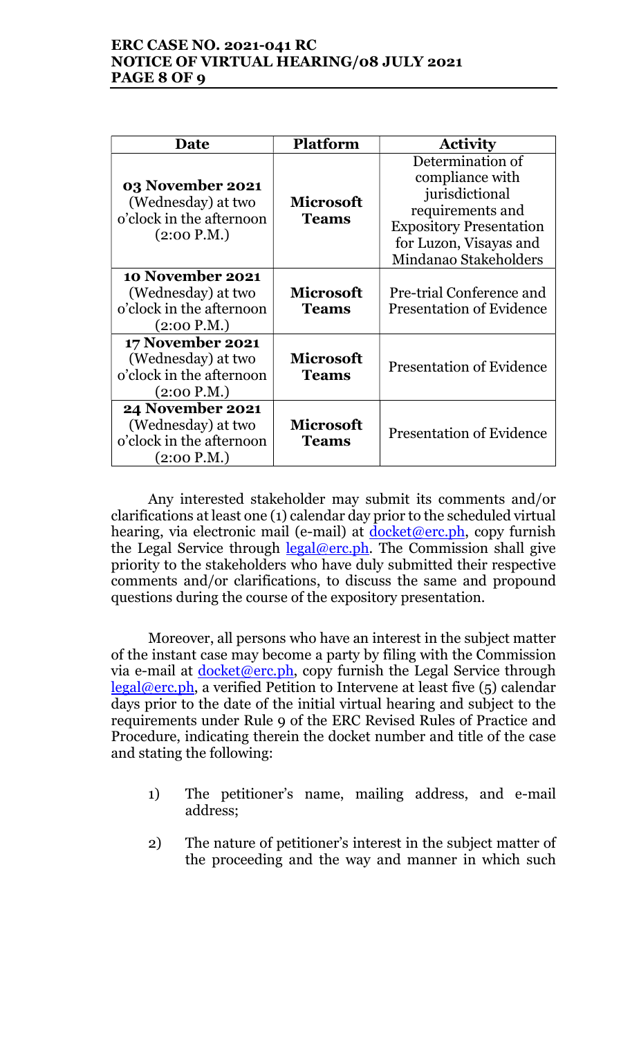# ERC CASE NO. 2021-041 RC NOTICE OF VIRTUAL HEARING/08 JULY 2021 PAGE 8 OF 9

| Date                                                                                     | <b>Platform</b>                  | <b>Activity</b>                                                                                                                                                |
|------------------------------------------------------------------------------------------|----------------------------------|----------------------------------------------------------------------------------------------------------------------------------------------------------------|
| 03 November 2021<br>(Wednesday) at two<br>o'clock in the afternoon<br>(2:00 P.M.)        | <b>Microsoft</b><br><b>Teams</b> | Determination of<br>compliance with<br>jurisdictional<br>requirements and<br><b>Expository Presentation</b><br>for Luzon, Visayas and<br>Mindanao Stakeholders |
| 10 November 2021<br>(Wednesday) at two<br>o'clock in the afternoon<br>(2:00 P.M.)        | <b>Microsoft</b><br><b>Teams</b> | Pre-trial Conference and<br><b>Presentation of Evidence</b>                                                                                                    |
| <b>17 November 2021</b><br>(Wednesday) at two<br>o'clock in the afternoon<br>(2:00 P.M.) | <b>Microsoft</b><br><b>Teams</b> | <b>Presentation of Evidence</b>                                                                                                                                |
| <b>24 November 2021</b><br>(Wednesday) at two<br>o'clock in the afternoon<br>(2:00 P.M.) | <b>Microsoft</b><br><b>Teams</b> | <b>Presentation of Evidence</b>                                                                                                                                |

Any interested stakeholder may submit its comments and/or clarifications at least one (1) calendar day prior to the scheduled virtual hearing, via electronic mail (e-mail) at  $\frac{d\alpha}{d\alpha}$  (e-mail) at  $\frac{d\alpha}{d\alpha}$  (erc. ph, copy furnish the Legal Service through  $\frac{\text{legal@erc.ph.}}{\text{Real@erc.ph.}}$  The Commission shall give priority to the stakeholders who have duly submitted their respective comments and/or clarifications, to discuss the same and propound questions during the course of the expository presentation.

Moreover, all persons who have an interest in the subject matter of the instant case may become a party by filing with the Commission via e-mail at <u>docket@erc.ph</u>, copy furnish the Legal Service through legal@erc.ph, a verified Petition to Intervene at least five (5) calendar days prior to the date of the initial virtual hearing and subject to the requirements under Rule 9 of the ERC Revised Rules of Practice and Procedure, indicating therein the docket number and title of the case and stating the following:

- 1) The petitioner's name, mailing address, and e-mail address;
- 2) The nature of petitioner's interest in the subject matter of the proceeding and the way and manner in which such